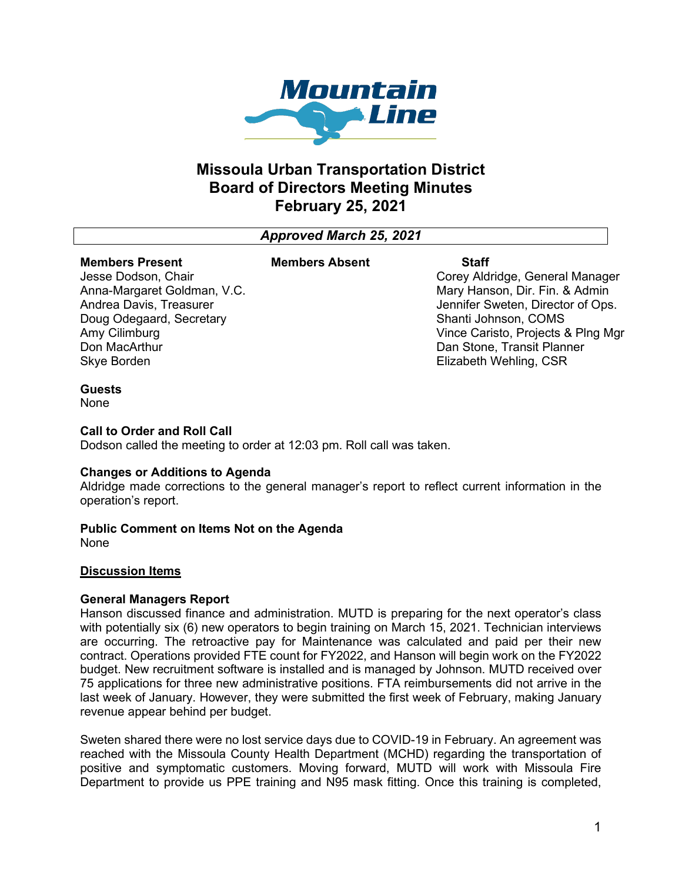

# **Missoula Urban Transportation District Board of Directors Meeting Minutes February 25, 2021**

*Approved March 25, 2021*

#### **Members Present** Jesse Dodson, Chair

Amy Cilimburg Don MacArthur Skye Borden

#### **Members Absent Staff**

Corey Aldridge, General Manager Mary Hanson, Dir. Fin. & Admin Jennifer Sweten, Director of Ops. Shanti Johnson, COMS Vince Caristo, Projects & Plng Mgr Dan Stone, Transit Planner Elizabeth Wehling, CSR

### **Guests**

None

### **Call to Order and Roll Call**

Anna-Margaret Goldman, V.C. Andrea Davis, Treasurer Doug Odegaard, Secretary

Dodson called the meeting to order at 12:03 pm. Roll call was taken.

#### **Changes or Additions to Agenda**

Aldridge made corrections to the general manager's report to reflect current information in the operation's report.

## **Public Comment on Items Not on the Agenda**

None

## **Discussion Items**

#### **General Managers Report**

Hanson discussed finance and administration. MUTD is preparing for the next operator's class with potentially six (6) new operators to begin training on March 15, 2021. Technician interviews are occurring. The retroactive pay for Maintenance was calculated and paid per their new contract. Operations provided FTE count for FY2022, and Hanson will begin work on the FY2022 budget. New recruitment software is installed and is managed by Johnson. MUTD received over 75 applications for three new administrative positions. FTA reimbursements did not arrive in the last week of January. However, they were submitted the first week of February, making January revenue appear behind per budget.

Sweten shared there were no lost service days due to COVID-19 in February. An agreement was reached with the Missoula County Health Department (MCHD) regarding the transportation of positive and symptomatic customers. Moving forward, MUTD will work with Missoula Fire Department to provide us PPE training and N95 mask fitting. Once this training is completed,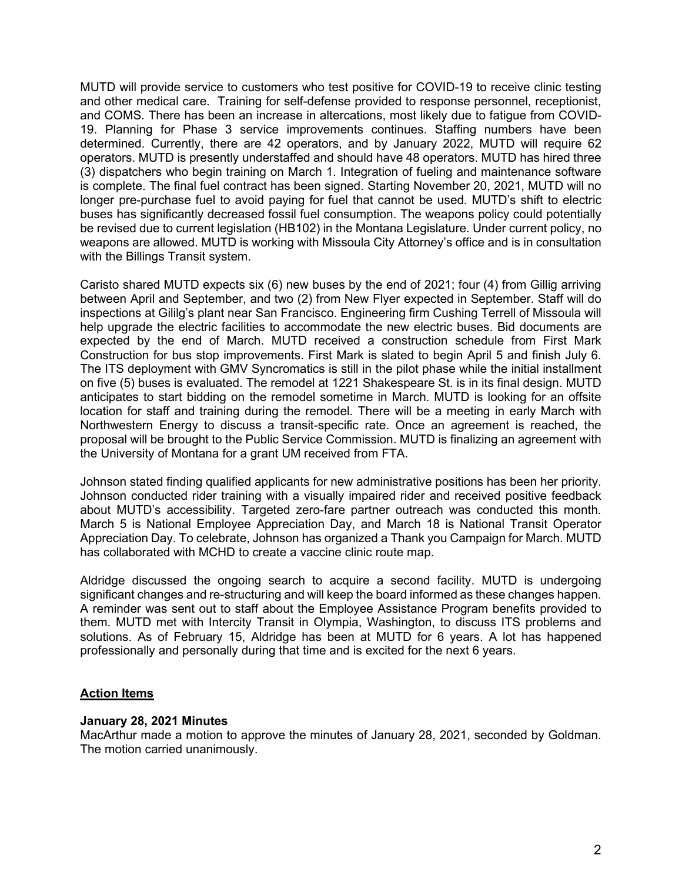MUTD will provide service to customers who test positive for COVID-19 to receive clinic testing and other medical care. Training for self-defense provided to response personnel, receptionist, and COMS. There has been an increase in altercations, most likely due to fatigue from COVID-19. Planning for Phase 3 service improvements continues. Staffing numbers have been determined. Currently, there are 42 operators, and by January 2022, MUTD will require 62 operators. MUTD is presently understaffed and should have 48 operators. MUTD has hired three (3) dispatchers who begin training on March 1. Integration of fueling and maintenance software is complete. The final fuel contract has been signed. Starting November 20, 2021, MUTD will no longer pre-purchase fuel to avoid paying for fuel that cannot be used. MUTD's shift to electric buses has significantly decreased fossil fuel consumption. The weapons policy could potentially be revised due to current legislation (HB102) in the Montana Legislature. Under current policy, no weapons are allowed. MUTD is working with Missoula City Attorney's office and is in consultation with the Billings Transit system.

Caristo shared MUTD expects six (6) new buses by the end of 2021; four (4) from Gillig arriving between April and September, and two (2) from New Flyer expected in September. Staff will do inspections at Gililg's plant near San Francisco. Engineering firm Cushing Terrell of Missoula will help upgrade the electric facilities to accommodate the new electric buses. Bid documents are expected by the end of March. MUTD received a construction schedule from First Mark Construction for bus stop improvements. First Mark is slated to begin April 5 and finish July 6. The ITS deployment with GMV Syncromatics is still in the pilot phase while the initial installment on five (5) buses is evaluated. The remodel at 1221 Shakespeare St. is in its final design. MUTD anticipates to start bidding on the remodel sometime in March. MUTD is looking for an offsite location for staff and training during the remodel. There will be a meeting in early March with Northwestern Energy to discuss a transit-specific rate. Once an agreement is reached, the proposal will be brought to the Public Service Commission. MUTD is finalizing an agreement with the University of Montana for a grant UM received from FTA.

Johnson stated finding qualified applicants for new administrative positions has been her priority. Johnson conducted rider training with a visually impaired rider and received positive feedback about MUTD's accessibility. Targeted zero-fare partner outreach was conducted this month. March 5 is National Employee Appreciation Day, and March 18 is National Transit Operator Appreciation Day. To celebrate, Johnson has organized a Thank you Campaign for March. MUTD has collaborated with MCHD to create a vaccine clinic route map.

Aldridge discussed the ongoing search to acquire a second facility. MUTD is undergoing significant changes and re-structuring and will keep the board informed as these changes happen. A reminder was sent out to staff about the Employee Assistance Program benefits provided to them. MUTD met with Intercity Transit in Olympia, Washington, to discuss ITS problems and solutions. As of February 15, Aldridge has been at MUTD for 6 years. A lot has happened professionally and personally during that time and is excited for the next 6 years.

## **Action Items**

## **January 28, 2021 Minutes**

MacArthur made a motion to approve the minutes of January 28, 2021, seconded by Goldman. The motion carried unanimously.